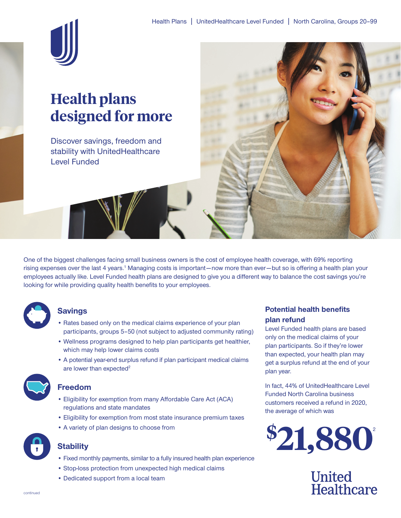

# **Health plans designed for more**

Discover savings, freedom and stability with UnitedHealthcare Level Funded



One of the biggest challenges facing small business owners is the cost of employee health coverage, with 69% reporting rising expenses over the last 4 years.<sup>1</sup> Managing costs is important—now more than ever—but so is offering a health plan your employees actually like. Level Funded health plans are designed to give you a different way to balance the cost savings you're looking for while providing quality health benefits to your employees.



### **Savings**

- Rates based only on the medical claims experience of your plan participants, groups 5–50 (not subject to adjusted community rating)
- Wellness programs designed to help plan participants get healthier, which may help lower claims costs
- A potential year-end surplus refund if plan participant medical claims are lower than expected<sup>2</sup>



#### **Freedom**

- Eligibility for exemption from many Affordable Care Act (ACA) regulations and state mandates
- Eligibility for exemption from most state insurance premium taxes
- A variety of plan designs to choose from



## **Stability**

- Fixed monthly payments, similar to a fully insured health plan experience
- Stop-loss protection from unexpected high medical claims
- Dedicated support from a local team

### **Potential health benefits plan refund**

Level Funded health plans are based only on the medical claims of your plan participants. So if they're lower than expected, your health plan may get a surplus refund at the end of your plan year.

In fact, 44% of UnitedHealthcare Level Funded North Carolina business customers received a refund in 2020, the average of which was



**United** Healthcare